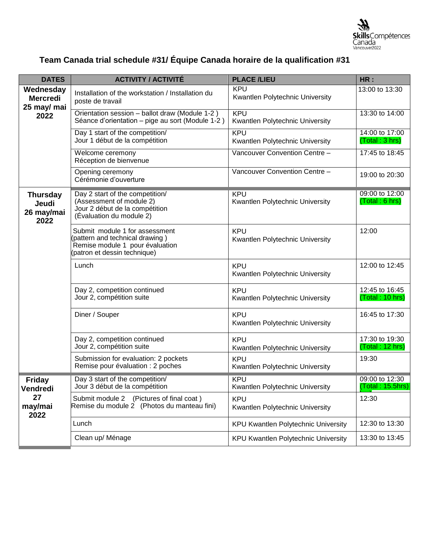

## **Team Canada trial schedule #31/ Équipe Canada horaire de la qualification #31**

| <b>DATES</b>                                        | <b>ACTIVITY / ACTIVITÉ</b>                                                                                                           | <b>PLACE /LIEU</b>                            | HR:                                 |
|-----------------------------------------------------|--------------------------------------------------------------------------------------------------------------------------------------|-----------------------------------------------|-------------------------------------|
| Wednesday<br><b>Mercredi</b><br>25 may/ mai<br>2022 | Installation of the workstation / Installation du<br>poste de travail                                                                | <b>KPU</b><br>Kwantlen Polytechnic University | 13:00 to 13:30                      |
|                                                     | Orientation session - ballot draw (Module 1-2)<br>Séance d'orientation – pige au sort (Module 1-2)                                   | <b>KPU</b><br>Kwantlen Polytechnic University | 13:30 to 14:00                      |
|                                                     | Day 1 start of the competition/<br>Jour 1 début de la compétition                                                                    | <b>KPU</b><br>Kwantlen Polytechnic University | 14:00 to 17:00<br>(Total: 3 hrs)    |
|                                                     | Welcome ceremony<br>Réception de bienvenue                                                                                           | Vancouver Convention Centre -                 | 17:45 to 18:45                      |
|                                                     | Opening ceremony<br>Cérémonie d'ouverture                                                                                            | Vancouver Convention Centre -                 | 19:00 to 20:30                      |
| <b>Thursday</b><br>Jeudi<br>26 may/mai<br>2022      | Day 2 start of the competition/<br>(Assessment of module 2)<br>Jour 2 début de la compétition<br>(Evaluation du module 2)            | <b>KPU</b><br>Kwantlen Polytechnic University | 09:00 to 12:00<br>(Total: 6 hrs)    |
|                                                     | Submit module 1 for assessment<br>(pattern and technical drawing)<br>Remise module 1 pour évaluation<br>(patron et dessin technique) | <b>KPU</b><br>Kwantlen Polytechnic University | 12:00                               |
|                                                     | Lunch                                                                                                                                | <b>KPU</b><br>Kwantlen Polytechnic University | 12:00 to 12:45                      |
|                                                     | Day 2, competition continued<br>Jour 2, compétition suite                                                                            | <b>KPU</b><br>Kwantlen Polytechnic University | 12:45 to 16:45<br>(Total: 10 hrs)   |
|                                                     | Diner / Souper                                                                                                                       | <b>KPU</b><br>Kwantlen Polytechnic University | 16:45 to 17:30                      |
|                                                     | Day 2, competition continued<br>Jour 2, compétition suite                                                                            | <b>KPU</b><br>Kwantlen Polytechnic University | 17:30 to 19:30<br>(Total: 12 hrs)   |
|                                                     | Submission for evaluation: 2 pockets<br>Remise pour évaluation : 2 poches                                                            | <b>KPU</b><br>Kwantlen Polytechnic University | 19:30                               |
| <b>Friday</b><br>Vendredi<br>27<br>may/mai<br>2022  | Day 3 start of the competition/<br>Jour 3 début de la compétition                                                                    | <b>KPU</b><br>Kwantlen Polytechnic University | 09:00 to 12:30<br>(Total : 15.5hrs) |
|                                                     | Submit module 2<br>(Pictures of final coat)<br>Remise du module 2 (Photos du manteau fini)                                           | <b>KPU</b><br>Kwantlen Polytechnic University | 12:30                               |
|                                                     | Lunch                                                                                                                                | <b>KPU Kwantlen Polytechnic University</b>    | 12:30 to 13:30                      |
|                                                     | Clean up/ Ménage                                                                                                                     | <b>KPU Kwantlen Polytechnic University</b>    | 13:30 to 13:45                      |